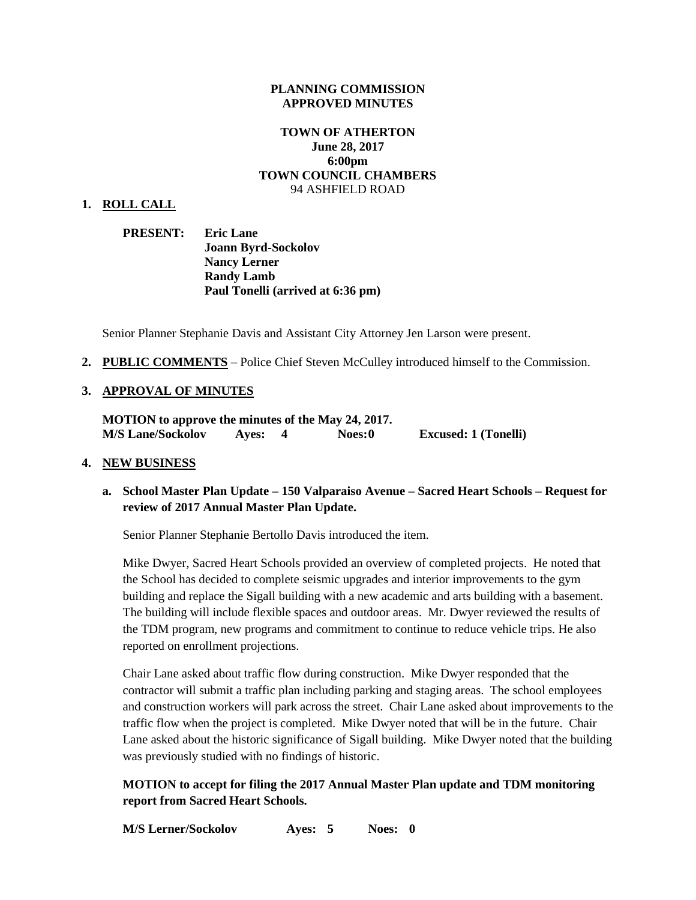#### **PLANNING COMMISSION APPROVED MINUTES**

### **TOWN OF ATHERTON June 28, 2017 6:00pm TOWN COUNCIL CHAMBERS** 94 ASHFIELD ROAD

#### **1. ROLL CALL**

| <b>PRESENT:</b> | <b>Eric Lane</b>                  |
|-----------------|-----------------------------------|
|                 | <b>Joann Byrd-Sockolov</b>        |
|                 | <b>Nancy Lerner</b>               |
|                 | <b>Randy Lamb</b>                 |
|                 | Paul Tonelli (arrived at 6:36 pm) |

Senior Planner Stephanie Davis and Assistant City Attorney Jen Larson were present.

**2. PUBLIC COMMENTS** – Police Chief Steven McCulley introduced himself to the Commission.

#### **3. APPROVAL OF MINUTES**

**MOTION to approve the minutes of the May 24, 2017. M/S Lane/Sockolov Ayes: 4 Noes:0 Excused: 1 (Tonelli)**

#### **4. NEW BUSINESS**

### **a. School Master Plan Update – 150 Valparaiso Avenue – Sacred Heart Schools – Request for review of 2017 Annual Master Plan Update.**

Senior Planner Stephanie Bertollo Davis introduced the item.

Mike Dwyer, Sacred Heart Schools provided an overview of completed projects. He noted that the School has decided to complete seismic upgrades and interior improvements to the gym building and replace the Sigall building with a new academic and arts building with a basement. The building will include flexible spaces and outdoor areas. Mr. Dwyer reviewed the results of the TDM program, new programs and commitment to continue to reduce vehicle trips. He also reported on enrollment projections.

Chair Lane asked about traffic flow during construction. Mike Dwyer responded that the contractor will submit a traffic plan including parking and staging areas. The school employees and construction workers will park across the street. Chair Lane asked about improvements to the traffic flow when the project is completed. Mike Dwyer noted that will be in the future. Chair Lane asked about the historic significance of Sigall building. Mike Dwyer noted that the building was previously studied with no findings of historic.

**MOTION to accept for filing the 2017 Annual Master Plan update and TDM monitoring report from Sacred Heart Schools.**

**M/S Lerner/Sockolov Ayes: 5 Noes: 0**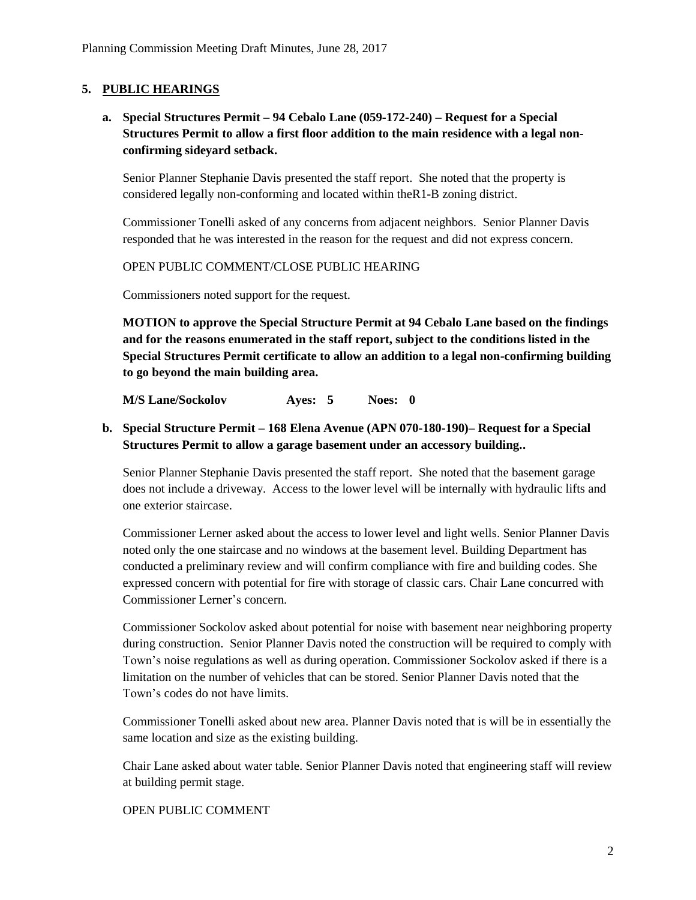### **5. PUBLIC HEARINGS**

# **a. Special Structures Permit – 94 Cebalo Lane (059-172-240) – Request for a Special Structures Permit to allow a first floor addition to the main residence with a legal nonconfirming sideyard setback.**

Senior Planner Stephanie Davis presented the staff report. She noted that the property is considered legally non-conforming and located within theR1-B zoning district.

Commissioner Tonelli asked of any concerns from adjacent neighbors. Senior Planner Davis responded that he was interested in the reason for the request and did not express concern.

OPEN PUBLIC COMMENT/CLOSE PUBLIC HEARING

Commissioners noted support for the request.

**MOTION to approve the Special Structure Permit at 94 Cebalo Lane based on the findings and for the reasons enumerated in the staff report, subject to the conditions listed in the Special Structures Permit certificate to allow an addition to a legal non-confirming building to go beyond the main building area.**

**M/S Lane/Sockolov Ayes: 5 Noes: 0**

# **b. Special Structure Permit – 168 Elena Avenue (APN 070-180-190)– Request for a Special Structures Permit to allow a garage basement under an accessory building..**

Senior Planner Stephanie Davis presented the staff report. She noted that the basement garage does not include a driveway. Access to the lower level will be internally with hydraulic lifts and one exterior staircase.

Commissioner Lerner asked about the access to lower level and light wells. Senior Planner Davis noted only the one staircase and no windows at the basement level. Building Department has conducted a preliminary review and will confirm compliance with fire and building codes. She expressed concern with potential for fire with storage of classic cars. Chair Lane concurred with Commissioner Lerner's concern.

Commissioner Sockolov asked about potential for noise with basement near neighboring property during construction. Senior Planner Davis noted the construction will be required to comply with Town's noise regulations as well as during operation. Commissioner Sockolov asked if there is a limitation on the number of vehicles that can be stored. Senior Planner Davis noted that the Town's codes do not have limits.

Commissioner Tonelli asked about new area. Planner Davis noted that is will be in essentially the same location and size as the existing building.

Chair Lane asked about water table. Senior Planner Davis noted that engineering staff will review at building permit stage.

### OPEN PUBLIC COMMENT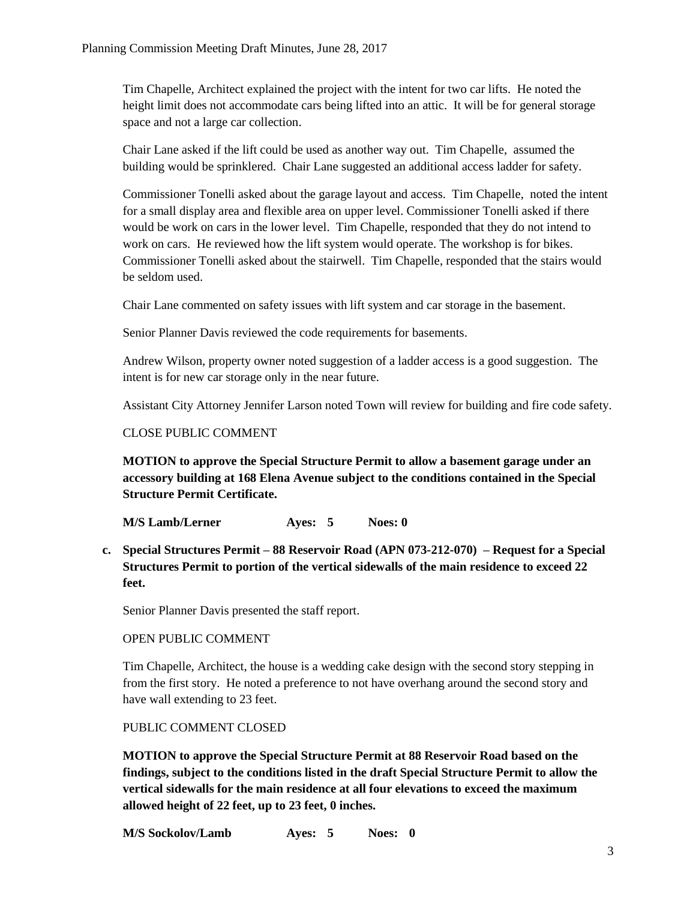Tim Chapelle, Architect explained the project with the intent for two car lifts. He noted the height limit does not accommodate cars being lifted into an attic. It will be for general storage space and not a large car collection.

Chair Lane asked if the lift could be used as another way out. Tim Chapelle, assumed the building would be sprinklered. Chair Lane suggested an additional access ladder for safety.

Commissioner Tonelli asked about the garage layout and access. Tim Chapelle, noted the intent for a small display area and flexible area on upper level. Commissioner Tonelli asked if there would be work on cars in the lower level. Tim Chapelle, responded that they do not intend to work on cars. He reviewed how the lift system would operate. The workshop is for bikes. Commissioner Tonelli asked about the stairwell. Tim Chapelle, responded that the stairs would be seldom used.

Chair Lane commented on safety issues with lift system and car storage in the basement.

Senior Planner Davis reviewed the code requirements for basements.

Andrew Wilson, property owner noted suggestion of a ladder access is a good suggestion. The intent is for new car storage only in the near future.

Assistant City Attorney Jennifer Larson noted Town will review for building and fire code safety.

#### CLOSE PUBLIC COMMENT

**MOTION to approve the Special Structure Permit to allow a basement garage under an accessory building at 168 Elena Avenue subject to the conditions contained in the Special Structure Permit Certificate.**

**M/S Lamb/Lerner Ayes: 5 Noes: 0**

**c. Special Structures Permit – 88 Reservoir Road (APN [073-212-070\)](http://ca-atherton.civicplus.com/DocumentCenter/View/4333) – Request for a Special Structures Permit to portion of the vertical sidewalls of the main residence to exceed 22 feet.**

Senior Planner Davis presented the staff report.

### OPEN PUBLIC COMMENT

Tim Chapelle, Architect, the house is a wedding cake design with the second story stepping in from the first story. He noted a preference to not have overhang around the second story and have wall extending to 23 feet.

PUBLIC COMMENT CLOSED

**MOTION to approve the Special Structure Permit at 88 Reservoir Road based on the findings, subject to the conditions listed in the draft Special Structure Permit to allow the vertical sidewalls for the main residence at all four elevations to exceed the maximum allowed height of 22 feet, up to 23 feet, 0 inches.**

**M/S Sockolov/Lamb Ayes: 5 Noes: 0**